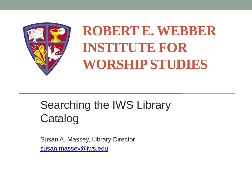

### **ROBERT E. WEBBER INSTITUTE FOR WORSHIP STUDIES**

#### Searching the IWS Library Catalog

Susan A. Massey, Library Director [susan.massey@iws.edu](mailto:susan.massey@iws.edu)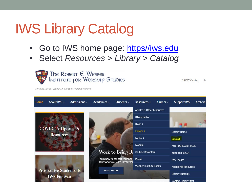### IWS Library Catalog

- Go to IWS home page: [https//iws.edu](http://www.iws.edu/)
- Select *Resources* > *Library > Catalog*



GROW Center Su

Forming Servant Leaders in Christian Worship Renewal

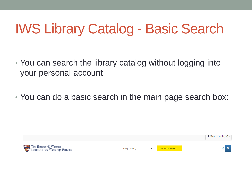### IWS Library Catalog - Basic Search

- You can search the library catalog without logging into your personal account
- You can do a basic search in the main page search box:

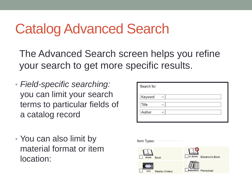#### Catalog Advanced Search

The Advanced Search screen helps you refine your search to get more specific results.

• *Field-specific searching:*  you can limit your search terms to particular fields of a catalog record

| • You can also limit by |
|-------------------------|
| material format or item |
| location:               |

| Keyword |  |
|---------|--|
|         |  |
| Title   |  |
| Author  |  |

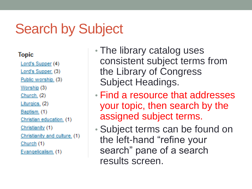#### Search by Subject

#### **Topic**

Lord's Supper (4) Lord's Supper. (3)

Public worship. (3)

Worship (3)

Church. (2)

Liturgics. (2)

Baptism. (1)

Christian education. (1)

Christianity (1)

Christianity and culture. (1)

Church  $(1)$ 

Evangelicalism. (1)

- The library catalog uses consistent subject terms from the Library of Congress Subject Headings.
- Find a resource that addresses your topic, then search by the assigned subject terms.
- Subject terms can be found on the left-hand "refine your search" pane of a search results screen.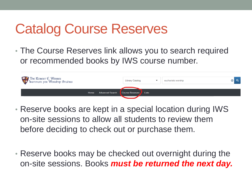#### Catalog Course Reserves

• The Course Reserves link allows you to search required or recommended books by IWS course number.



- Reserve books are kept in a special location during IWS on-site sessions to allow all students to review them before deciding to check out or purchase them.
- Reserve books may be checked out overnight during the on-site sessions. Books *must be returned the next day.*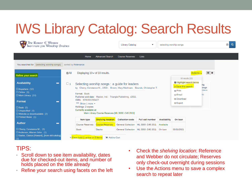## IWS Library Catalog: Search Results



#### TIPS:

- Scroll down to see item availability, dates due for checked-out items, and number of holds placed on the title already
- Refine your search using facets on the left
- Check the *shelving location*: Reference and Webber do not circulate; Reserves only check-out overnight during sessions
- Use the Actions menu to save a complex search to repeat later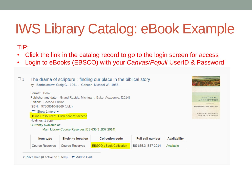### IWS Library Catalog: eBook Example

#### TIP:

- Click the link in the catalog record to go to the login screen for access
- Login to eBooks (EBSCO) with your *Canvas/Populi* UserID & Password

 $\Box$  1 The drama of scripture : finding our place in the biblical story by Bartholomew, Craig G., 1961-. Goheen, Michael W., 1955-.

Format: Book Publisher and date: Grand Rapids, Michigan: Baker Academic, [2014] Edition: Second Edition ISBN: 9780801049569 (pbk.). \*\*\* Show 1 more \* Online Resources: Click here for access Holdings: 1 copy Currently available at:



Main Library Course Reserves [BS 635.3 .B37 2014]

| <b>Item type</b>       | <b>Shelving location</b> | <b>Collection code</b>        | <b>Full call number</b> | Availability |
|------------------------|--------------------------|-------------------------------|-------------------------|--------------|
| <b>Course Reserves</b> | Course Reserves          | <b>EBSCO eBook Collection</b> | BS 635.3 B37 2014       | Available    |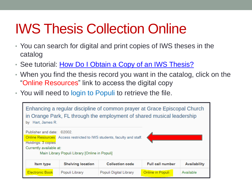### IWS Thesis Collection Online

- You can search for digital and print copies of IWS theses in the catalog
- See tutorial: How Do I Obtain a Copy of an IWS Thesis?
- When you find the thesis record you want in the catalog, click on the "Online Resources" link to access the digital copy
- You will need to login to Populi to retrieve the file.